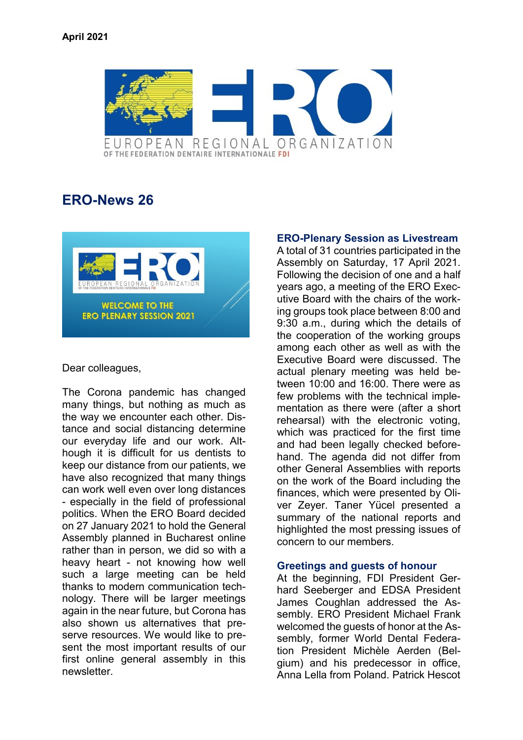

# **ERO-News 26**



### Dear colleagues,

The Corona pandemic has changed many things, but nothing as much as the way we encounter each other. Distance and social distancing determine our everyday life and our work. Although it is difficult for us dentists to keep our distance from our patients, we have also recognized that many things can work well even over long distances - especially in the field of professional politics. When the ERO Board decided on 27 January 2021 to hold the General Assembly planned in Bucharest online rather than in person, we did so with a heavy heart - not knowing how well such a large meeting can be held thanks to modern communication technology. There will be larger meetings again in the near future, but Corona has also shown us alternatives that preserve resources. We would like to present the most important results of our first online general assembly in this newsletter.

## **ERO-Plenary Session as Livestream**

A total of 31 countries participated in the Assembly on Saturday, 17 April 2021. Following the decision of one and a half years ago, a meeting of the ERO Executive Board with the chairs of the working groups took place between 8:00 and 9:30 a.m., during which the details of the cooperation of the working groups among each other as well as with the Executive Board were discussed. The actual plenary meeting was held between 10:00 and 16:00. There were as few problems with the technical implementation as there were (after a short rehearsal) with the electronic voting, which was practiced for the first time and had been legally checked beforehand. The agenda did not differ from other General Assemblies with reports on the work of the Board including the finances, which were presented by Oliver Zeyer. Taner Yücel presented a summary of the national reports and highlighted the most pressing issues of concern to our members.

### **Greetings and guests of honour**

At the beginning, FDI President Gerhard Seeberger and EDSA President James Coughlan addressed the Assembly. ERO President Michael Frank welcomed the guests of honor at the Assembly, former World Dental Federation President Michèle Aerden (Belgium) and his predecessor in office, Anna Lella from Poland. Patrick Hescot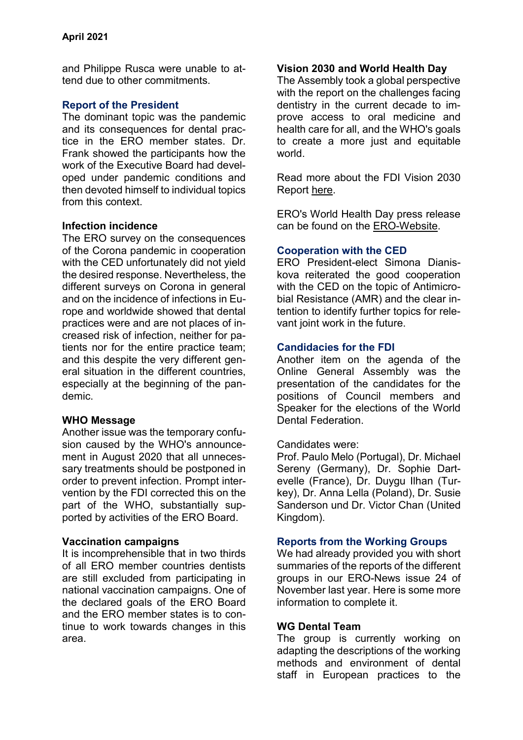and Philippe Rusca were unable to attend due to other commitments.

## **Report of the President**

The dominant topic was the pandemic and its consequences for dental practice in the ERO member states. Dr. Frank showed the participants how the work of the Executive Board had developed under pandemic conditions and then devoted himself to individual topics from this context.

## **Infection incidence**

The ERO survey on the consequences of the Corona pandemic in cooperation with the CED unfortunately did not yield the desired response. Nevertheless, the different surveys on Corona in general and on the incidence of infections in Europe and worldwide showed that dental practices were and are not places of increased risk of infection, neither for patients nor for the entire practice team; and this despite the very different general situation in the different countries, especially at the beginning of the pandemic.

### **WHO Message**

Another issue was the temporary confusion caused by the WHO's announcement in August 2020 that all unnecessary treatments should be postponed in order to prevent infection. Prompt intervention by the FDI corrected this on the part of the WHO, substantially supported by activities of the ERO Board.

### **Vaccination campaigns**

It is incomprehensible that in two thirds of all ERO member countries dentists are still excluded from participating in national vaccination campaigns. One of the declared goals of the ERO Board and the ERO member states is to continue to work towards changes in this area.

## **Vision 2030 and World Health Day**

The Assembly took a global perspective with the report on the challenges facing dentistry in the current decade to improve access to oral medicine and health care for all, and the WHO's goals to create a more just and equitable world.

Read more about the FDI Vision 2030 Report [here](http://www.fdiworldental.org/vision2030).

ERO's World Health Day press release can be found on the [ERO-Website.](https://www.erodental.org/)

### **Cooperation with the CED**

ERO President-elect Simona Dianiskova reiterated the good cooperation with the CED on the topic of Antimicrobial Resistance (AMR) and the clear intention to identify further topics for relevant joint work in the future.

## **Candidacies for the FDI**

Another item on the agenda of the Online General Assembly was the presentation of the candidates for the positions of Council members and Speaker for the elections of the World Dental Federation.

### Candidates were:

Prof. Paulo Melo (Portugal), Dr. Michael Sereny (Germany), Dr. Sophie Dartevelle (France), Dr. Duygu Ilhan (Turkey), Dr. Anna Lella (Poland), Dr. Susie Sanderson und Dr. Victor Chan (United Kingdom).

### **Reports from the Working Groups**

We had already provided you with short summaries of the reports of the different groups in our ERO-News issue 24 of November last year. Here is some more information to complete it.

### **WG Dental Team**

The group is currently working on adapting the descriptions of the working methods and environment of dental staff in European practices to the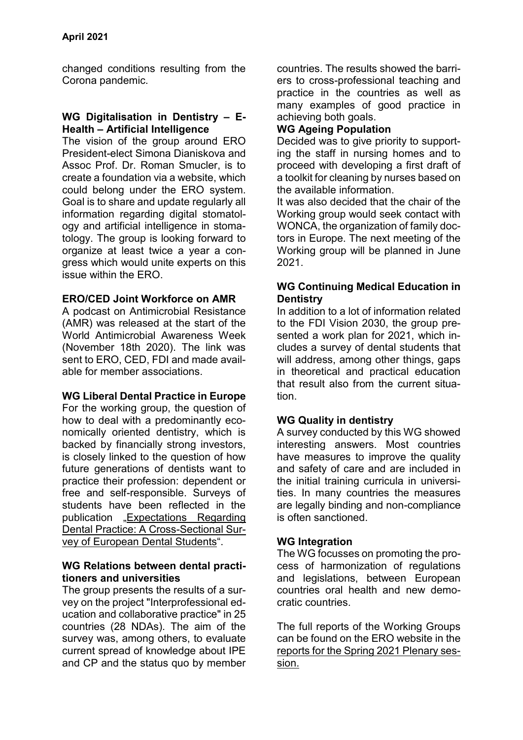changed conditions resulting from the Corona pandemic.

#### **WG Digitalisation in Dentistry – E-Health – Artificial Intelligence**

The vision of the group around ERO President-elect Simona Dianiskova and Assoc Prof. Dr. Roman Smucler, is to create a foundation via a website, which could belong under the ERO system. Goal is to share and update regularly all information regarding digital stomatology and artificial intelligence in stomatology. The group is looking forward to organize at least twice a year a congress which would unite experts on this issue within the ERO.

## **ERO/CED Joint Workforce on AMR**

A podcast on Antimicrobial Resistance (AMR) was released at the start of the World Antimicrobial Awareness Week (November 18th 2020). The link was sent to ERO, CED, FDI and made available for member associations.

### **WG Liberal Dental Practice in Europe**

For the working group, the question of how to deal with a predominantly economically oriented dentistry, which is backed by financially strong investors, is closely linked to the question of how future generations of dentists want to practice their profession: dependent or free and self-responsible. Surveys of students have been reflected in the publication "[Expectations Regarding](https://www.mdpi.com/1660-4601/17/19/7296)  [Dental Practice: A Cross-Sectional Sur](https://www.mdpi.com/1660-4601/17/19/7296)[vey of European Dental Students](https://www.mdpi.com/1660-4601/17/19/7296)".

### **WG Relations between dental practitioners and universities**

The group presents the results of a survey on the project "Interprofessional education and collaborative practice" in 25 countries (28 NDAs). The aim of the survey was, among others, to evaluate current spread of knowledge about IPE and CP and the status quo by member countries. The results showed the barriers to cross-professional teaching and practice in the countries as well as many examples of good practice in achieving both goals.

## **WG Ageing Population**

Decided was to give priority to supporting the staff in nursing homes and to proceed with developing a first draft of a toolkit for cleaning by nurses based on the available information.

It was also decided that the chair of the Working group would seek contact with WONCA, the organization of family doctors in Europe. The next meeting of the Working group will be planned in June 2021.

## **WG Continuing Medical Education in Dentistry**

In addition to a lot of information related to the FDI Vision 2030, the group presented a work plan for 2021, which includes a survey of dental students that will address, among other things, gaps in theoretical and practical education that result also from the current situation.

# **WG Quality in dentistry**

A survey conducted by this WG showed interesting answers. Most countries have measures to improve the quality and safety of care and are included in the initial training curricula in universities. In many countries the measures are legally binding and non-compliance is often sanctioned.

# **WG Integration**

The WG focusses on promoting the process of harmonization of regulations and legislations, between European countries oral health and new democratic countries.

The full reports of the Working Groups can be found on the ERO website in the [reports for the Spring 2021 Plenary ses](https://www.erodental.org/organs-and-bodies/plenary-session/plenary-session-2021-online/reports)[sion.](https://www.erodental.org/organs-and-bodies/plenary-session/plenary-session-2021-online/reports)